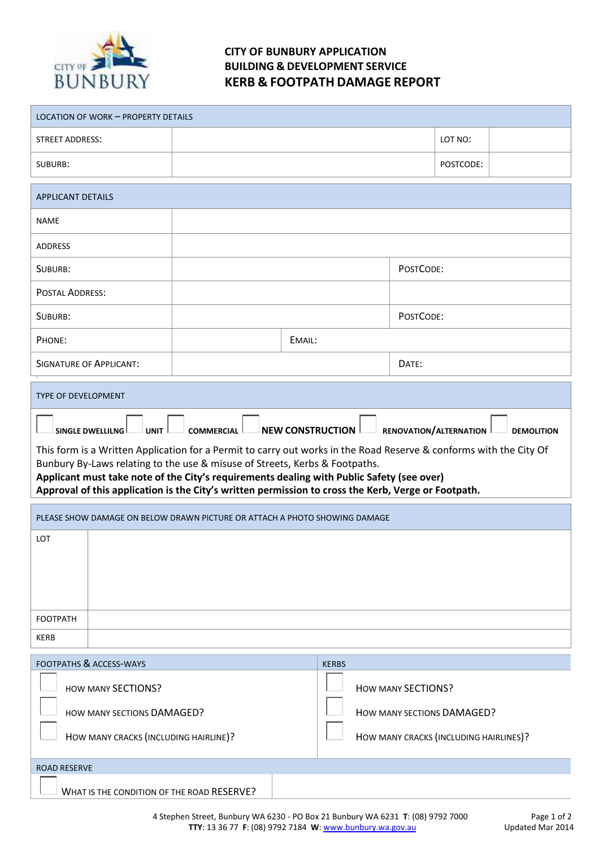

## **CITY OF BUNBURY APPLICATION BUILDING & DEVELOPMENT SERVICE KERB & FOOTPATH DAMAGE REPORT**

| LOCATION OF WORK - PROPERTY DETAILS                                                                                                                                                                                                                                                                                                                                                                                                                                                                                                                    |                                                                            |                                                         |                                        |  |
|--------------------------------------------------------------------------------------------------------------------------------------------------------------------------------------------------------------------------------------------------------------------------------------------------------------------------------------------------------------------------------------------------------------------------------------------------------------------------------------------------------------------------------------------------------|----------------------------------------------------------------------------|---------------------------------------------------------|----------------------------------------|--|
| <b>STREET ADDRESS:</b>                                                                                                                                                                                                                                                                                                                                                                                                                                                                                                                                 |                                                                            |                                                         | LOT NO:                                |  |
| SUBURB:                                                                                                                                                                                                                                                                                                                                                                                                                                                                                                                                                |                                                                            |                                                         | POSTCODE:                              |  |
| <b>APPLICANT DETAILS</b>                                                                                                                                                                                                                                                                                                                                                                                                                                                                                                                               |                                                                            |                                                         |                                        |  |
| <b>NAME</b>                                                                                                                                                                                                                                                                                                                                                                                                                                                                                                                                            |                                                                            |                                                         |                                        |  |
| <b>ADDRESS</b>                                                                                                                                                                                                                                                                                                                                                                                                                                                                                                                                         |                                                                            |                                                         |                                        |  |
| SUBURB:                                                                                                                                                                                                                                                                                                                                                                                                                                                                                                                                                |                                                                            | POSTCODE:                                               |                                        |  |
| <b>POSTAL ADDRESS:</b>                                                                                                                                                                                                                                                                                                                                                                                                                                                                                                                                 |                                                                            |                                                         |                                        |  |
| SUBURB:                                                                                                                                                                                                                                                                                                                                                                                                                                                                                                                                                |                                                                            | POSTCODE:                                               |                                        |  |
| PHONE:                                                                                                                                                                                                                                                                                                                                                                                                                                                                                                                                                 | EMAIL:                                                                     |                                                         |                                        |  |
| <b>SIGNATURE OF APPLICANT:</b>                                                                                                                                                                                                                                                                                                                                                                                                                                                                                                                         |                                                                            | DATE:                                                   |                                        |  |
| <b>TYPE OF DEVELOPMENT</b>                                                                                                                                                                                                                                                                                                                                                                                                                                                                                                                             |                                                                            |                                                         |                                        |  |
| $\perp$ NEW CONSTRUCTION $\perp$<br>COMMERCIAL <sup>1</sup><br>RENOVATION/ALTERNATION<br>SINGLE DWELLILNG<br><b>UNIT</b><br><b>DEMOLITION</b><br>This form is a Written Application for a Permit to carry out works in the Road Reserve & conforms with the City Of<br>Bunbury By-Laws relating to the use & misuse of Streets, Kerbs & Footpaths.<br>Applicant must take note of the City's requirements dealing with Public Safety (see over)<br>Approval of this application is the City's written permission to cross the Kerb, Verge or Footpath. |                                                                            |                                                         |                                        |  |
|                                                                                                                                                                                                                                                                                                                                                                                                                                                                                                                                                        |                                                                            |                                                         |                                        |  |
|                                                                                                                                                                                                                                                                                                                                                                                                                                                                                                                                                        | PLEASE SHOW DAMAGE ON BELOW DRAWN PICTURE OR ATTACH A PHOTO SHOWING DAMAGE |                                                         |                                        |  |
| LOT                                                                                                                                                                                                                                                                                                                                                                                                                                                                                                                                                    |                                                                            |                                                         |                                        |  |
| <b>FOOTPATH</b>                                                                                                                                                                                                                                                                                                                                                                                                                                                                                                                                        |                                                                            |                                                         |                                        |  |
| <b>KERB</b>                                                                                                                                                                                                                                                                                                                                                                                                                                                                                                                                            |                                                                            |                                                         |                                        |  |
| <b>FOOTPATHS &amp; ACCESS-WAYS</b>                                                                                                                                                                                                                                                                                                                                                                                                                                                                                                                     |                                                                            | <b>KERBS</b>                                            |                                        |  |
| <b>HOW MANY SECTIONS?</b><br>HOW MANY SECTIONS DAMAGED?<br>HOW MANY CRACKS (INCLUDING HAIRLINE)?                                                                                                                                                                                                                                                                                                                                                                                                                                                       |                                                                            | <b>HOW MANY SECTIONS?</b><br>HOW MANY SECTIONS DAMAGED? | HOW MANY CRACKS (INCLUDING HAIRLINES)? |  |
| <b>ROAD RESERVE</b>                                                                                                                                                                                                                                                                                                                                                                                                                                                                                                                                    |                                                                            |                                                         |                                        |  |